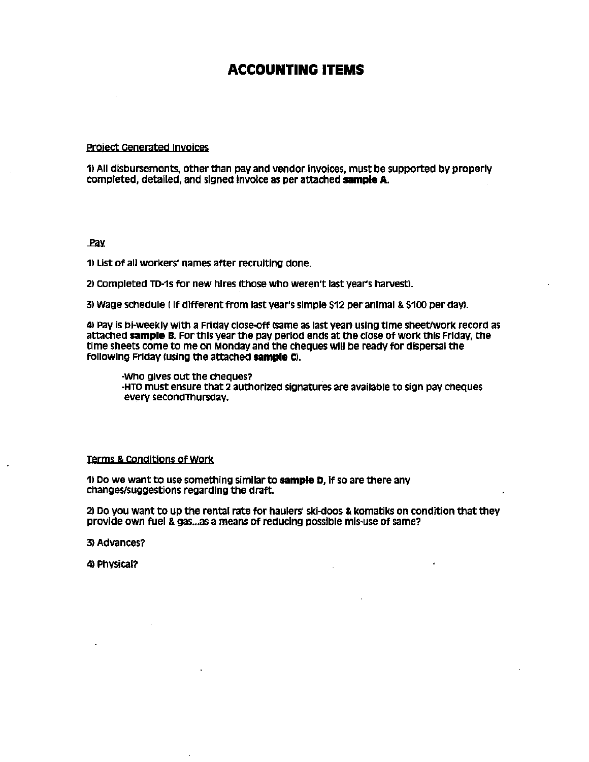# ACCOUNTING ITEMS

### project Generated Invoices

1) All diSbursements. other than pay and vendor Invoices, must be supported by properly completed, detailed, and signed Invoice as per attached sample A.

### Pav

1) List of all workers' names after recruiting done.

21 completed TD-1s for new hires (those who weren't last year's harvest).

3) Wage schedule (if different from last year's simple \$12 per animal & \$100 per day).

4) Pay is bi-weekly with a Friday close-off (same as last year) using time sheet/work record as attached **sample B.** For this year the pay period ends at the close of work this Friday, the time sheets come to me on Monday and the cheques will be ready for dispersal the following Friday (using the attached sample C).

-Who gives out the cheques? -HTO must ensure that 2 authorized signatures are available to sign pay CheqUeS every secondThursdav.

### Terms & COnditions of Work

1) Do we want to use something similar **to sample** D, If so are there any changes/suggestions regarding the draft.

2) Do you want to up the rental rate for haulers' skl-doos & komatlks on condition that they provide own fuel & gas... as a means of reducing possible mis-use of same?

3) Advances?

4) Phvsical?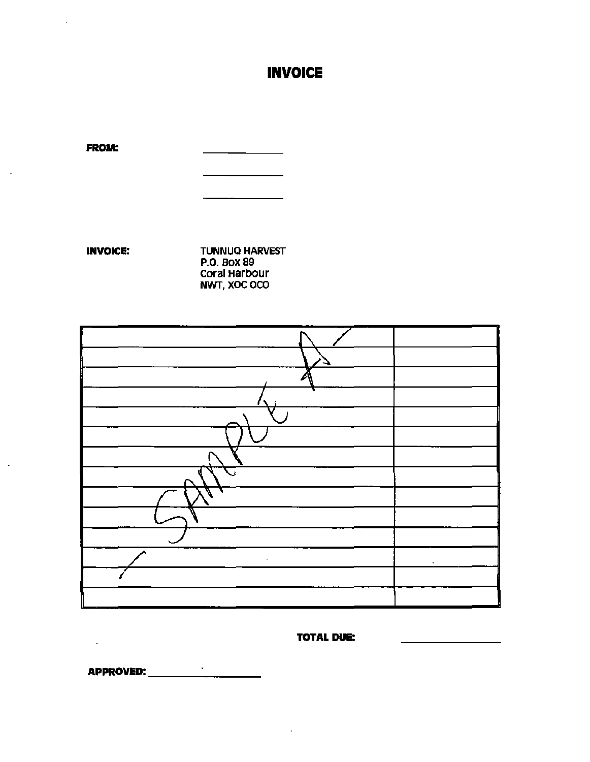# **INVOICE**

 $\sim$   $\sim$   $\sim$   $\sim$   $\sim$ 

**FROM:** 

 $\bar{\bar{z}}$ 

 $\bar{\alpha}$ 

 $\ddot{\phantom{a}}$ 

**INVOICE: TUNNUQ HARVEST P.O. BOX 89** Coral Harbour NWT, XOC OCO

 $\sim 10^6$ 

## **TOTAL DUE:**

**APPROVED:** \_\_\_\_\_\_\_\_\_\_\_\_\_\_\_\_\_\_\_

 $\sim 10^{-11}$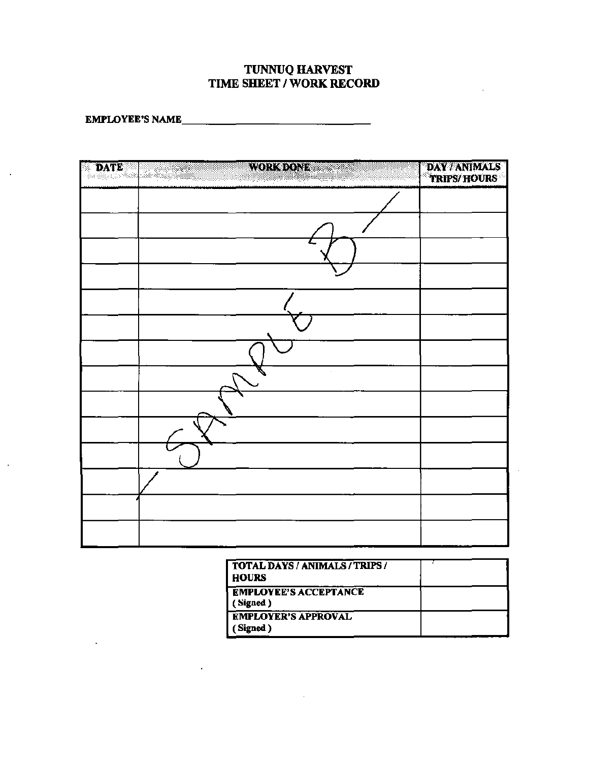## **TUNNUQ HARVEST** TIME SHEET / WORK RECORD

EMPLOYEE'S NAME

 $\mathcal{L}$ 

 $\ddot{\phantom{0}}$ 

 $\mathbf{v}^{\pm}$ 

| B | WORKSTONE STATE<br><b>DATE</b> | DAY/ANIMALS<br>TRIPS/HOURS |
|---|--------------------------------|----------------------------|
|   |                                |                            |
|   |                                |                            |
|   |                                |                            |
|   |                                |                            |
|   |                                |                            |
|   |                                |                            |
|   |                                |                            |
|   |                                |                            |
|   |                                |                            |
|   |                                |                            |
|   |                                |                            |
|   |                                |                            |
|   |                                |                            |
|   |                                |                            |

 $\mathcal{L}$ 

| TOTAL DAYS / ANIMALS / TRIPS /<br><b>HOURS</b> |  |
|------------------------------------------------|--|
| <b>EMPLOYEE'S ACCEPTANCE</b><br>Signed )       |  |
| <b>EMPLOYER'S APPROVAL</b><br>Signed )         |  |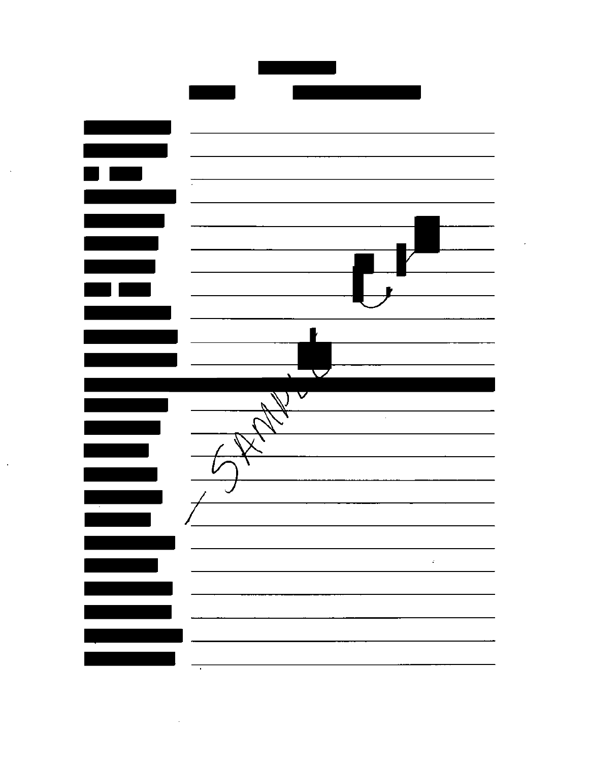